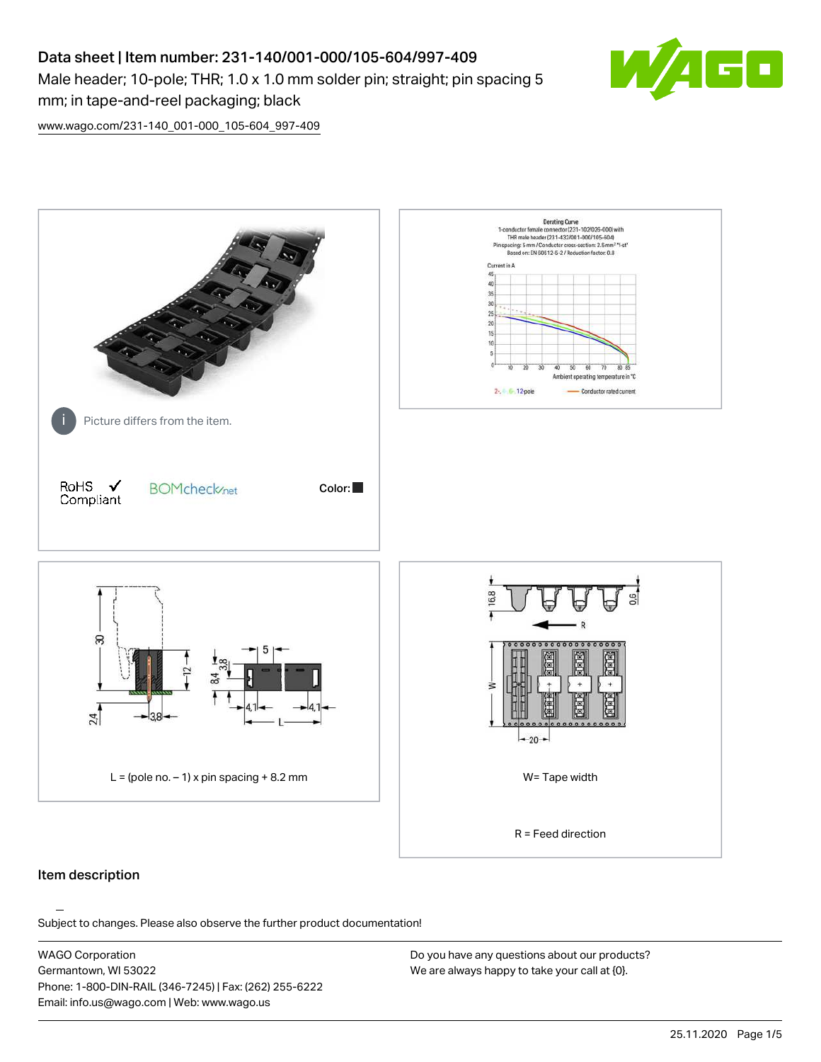# Data sheet | Item number: 231-140/001-000/105-604/997-409 Male header; 10-pole; THR; 1.0 x 1.0 mm solder pin; straight; pin spacing 5 mm; in tape-and-reel packaging; black



[www.wago.com/231-140\\_001-000\\_105-604\\_997-409](http://www.wago.com/231-140_001-000_105-604_997-409)



# Item description

Subject to changes. Please also observe the further product documentation!

WAGO Corporation Germantown, WI 53022 Phone: 1-800-DIN-RAIL (346-7245) | Fax: (262) 255-6222 Email: info.us@wago.com | Web: www.wago.us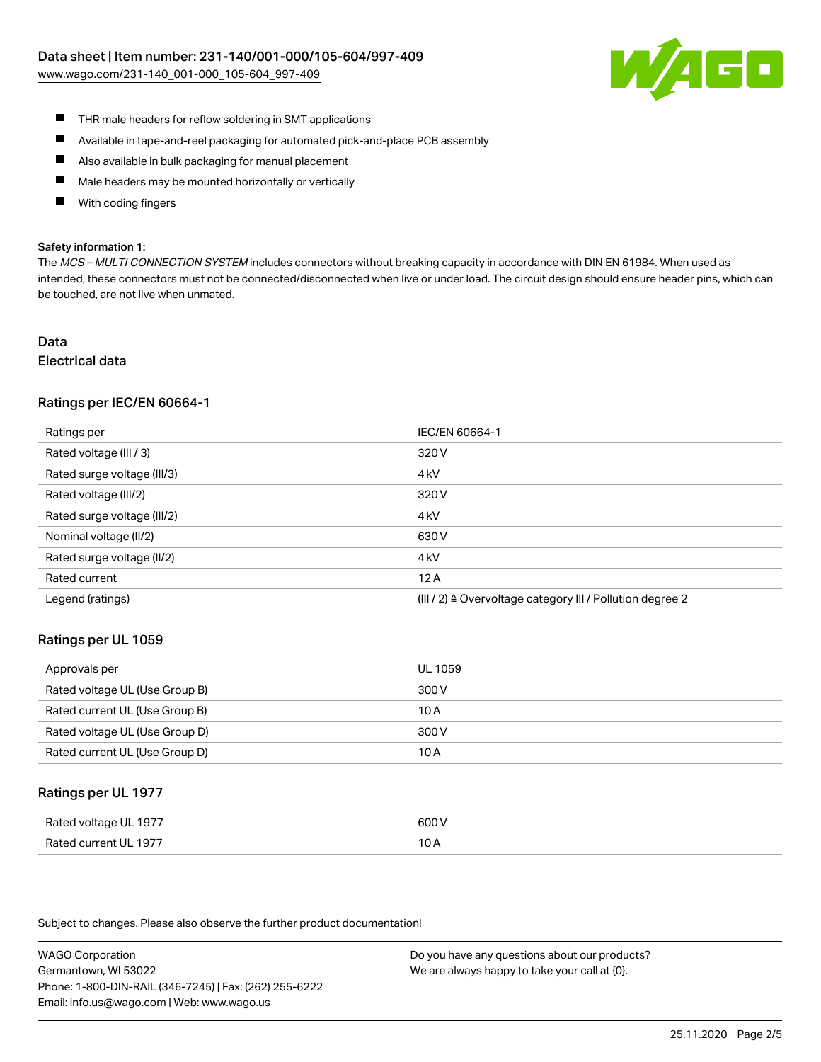[www.wago.com/231-140\\_001-000\\_105-604\\_997-409](http://www.wago.com/231-140_001-000_105-604_997-409)



- $\blacksquare$ THR male headers for reflow soldering in SMT applications
- $\blacksquare$ Available in tape-and-reel packaging for automated pick-and-place PCB assembly
- $\blacksquare$ Also available in bulk packaging for manual placement
- П Male headers may be mounted horizontally or vertically
- П With coding fingers

#### Safety information 1:

The MCS - MULTI CONNECTION SYSTEM includes connectors without breaking capacity in accordance with DIN EN 61984. When used as intended, these connectors must not be connected/disconnected when live or under load. The circuit design should ensure header pins, which can be touched, are not live when unmated.

# Data

# Electrical data

# Ratings per IEC/EN 60664-1

| Ratings per                 | IEC/EN 60664-1                                                       |
|-----------------------------|----------------------------------------------------------------------|
| Rated voltage (III / 3)     | 320 V                                                                |
| Rated surge voltage (III/3) | 4 <sub>k</sub> V                                                     |
| Rated voltage (III/2)       | 320 V                                                                |
| Rated surge voltage (III/2) | 4 <sub>k</sub> V                                                     |
| Nominal voltage (II/2)      | 630 V                                                                |
| Rated surge voltage (II/2)  | 4 <sub>k</sub> V                                                     |
| Rated current               | 12A                                                                  |
| Legend (ratings)            | (III / 2) $\triangleq$ Overvoltage category III / Pollution degree 2 |

### Ratings per UL 1059

| Approvals per                  | UL 1059 |
|--------------------------------|---------|
| Rated voltage UL (Use Group B) | 300 V   |
| Rated current UL (Use Group B) | 10 A    |
| Rated voltage UL (Use Group D) | 300 V   |
| Rated current UL (Use Group D) | 10 A    |

### Ratings per UL 1977

| Rated voltage UL 1977    | coo V |
|--------------------------|-------|
| Current UL 1977<br>Rated | IUF   |

Subject to changes. Please also observe the further product documentation!

WAGO Corporation Germantown, WI 53022 Phone: 1-800-DIN-RAIL (346-7245) | Fax: (262) 255-6222 Email: info.us@wago.com | Web: www.wago.us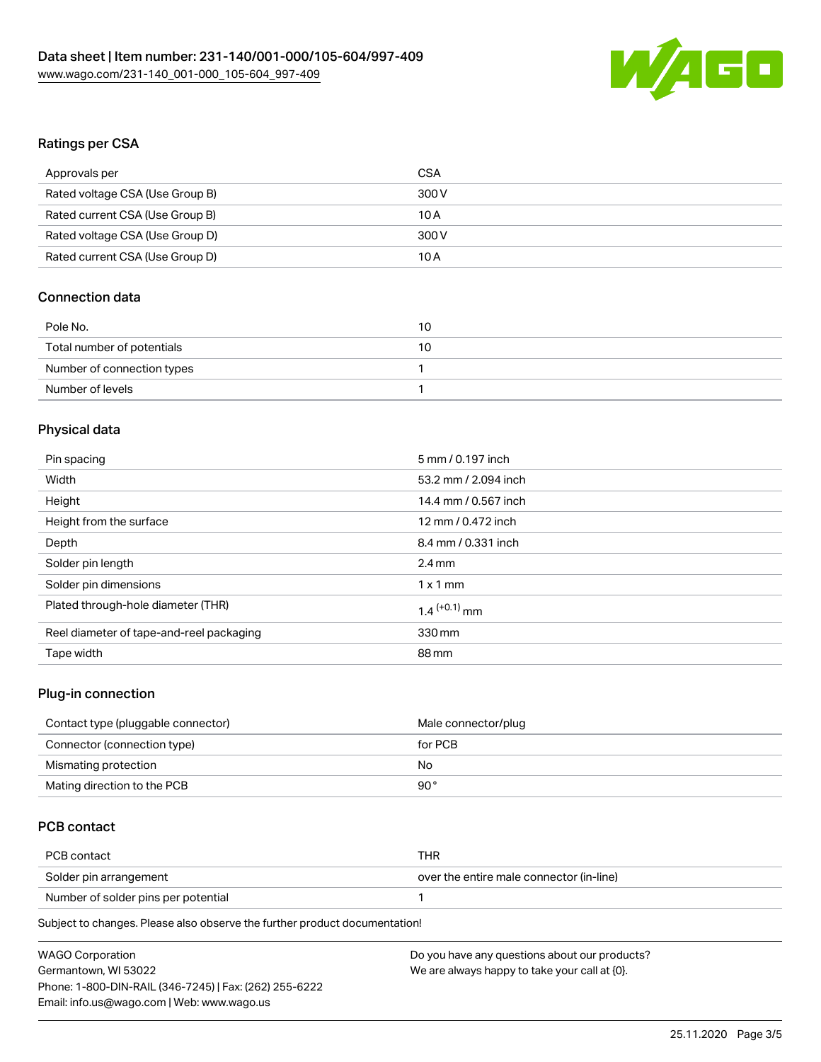

# Ratings per CSA

| Approvals per                   | CSA   |
|---------------------------------|-------|
| Rated voltage CSA (Use Group B) | 300 V |
| Rated current CSA (Use Group B) | 10 A  |
| Rated voltage CSA (Use Group D) | 300 V |
| Rated current CSA (Use Group D) | 10 A  |

# Connection data

| Pole No.                   | 10 |
|----------------------------|----|
| Total number of potentials | 10 |
| Number of connection types |    |
| Number of levels           |    |

# Physical data

| Pin spacing                              | 5 mm / 0.197 inch          |
|------------------------------------------|----------------------------|
| Width                                    | 53.2 mm / 2.094 inch       |
| Height                                   | 14.4 mm / 0.567 inch       |
| Height from the surface                  | 12 mm / 0.472 inch         |
| Depth                                    | 8.4 mm / 0.331 inch        |
| Solder pin length                        | $2.4 \text{ mm}$           |
| Solder pin dimensions                    | $1 \times 1$ mm            |
| Plated through-hole diameter (THR)       | $1.4$ <sup>(+0.1)</sup> mm |
| Reel diameter of tape-and-reel packaging | 330 mm                     |
| Tape width                               | 88 mm                      |
|                                          |                            |

# Plug-in connection

| Contact type (pluggable connector) | Male connector/plug |
|------------------------------------|---------------------|
| Connector (connection type)        | for PCB             |
| Mismating protection               | No                  |
| Mating direction to the PCB        | 90°                 |

# PCB contact

| PCB contact                         | THR                                      |
|-------------------------------------|------------------------------------------|
| Solder pin arrangement              | over the entire male connector (in-line) |
| Number of solder pins per potential |                                          |
|                                     |                                          |

Subject to changes. Please also observe the further product documentation!

| <b>WAGO Corporation</b>                                | Do you have any questions about our products? |
|--------------------------------------------------------|-----------------------------------------------|
| Germantown, WI 53022                                   | We are always happy to take your call at {0}. |
| Phone: 1-800-DIN-RAIL (346-7245)   Fax: (262) 255-6222 |                                               |
| Email: info.us@wago.com   Web: www.wago.us             |                                               |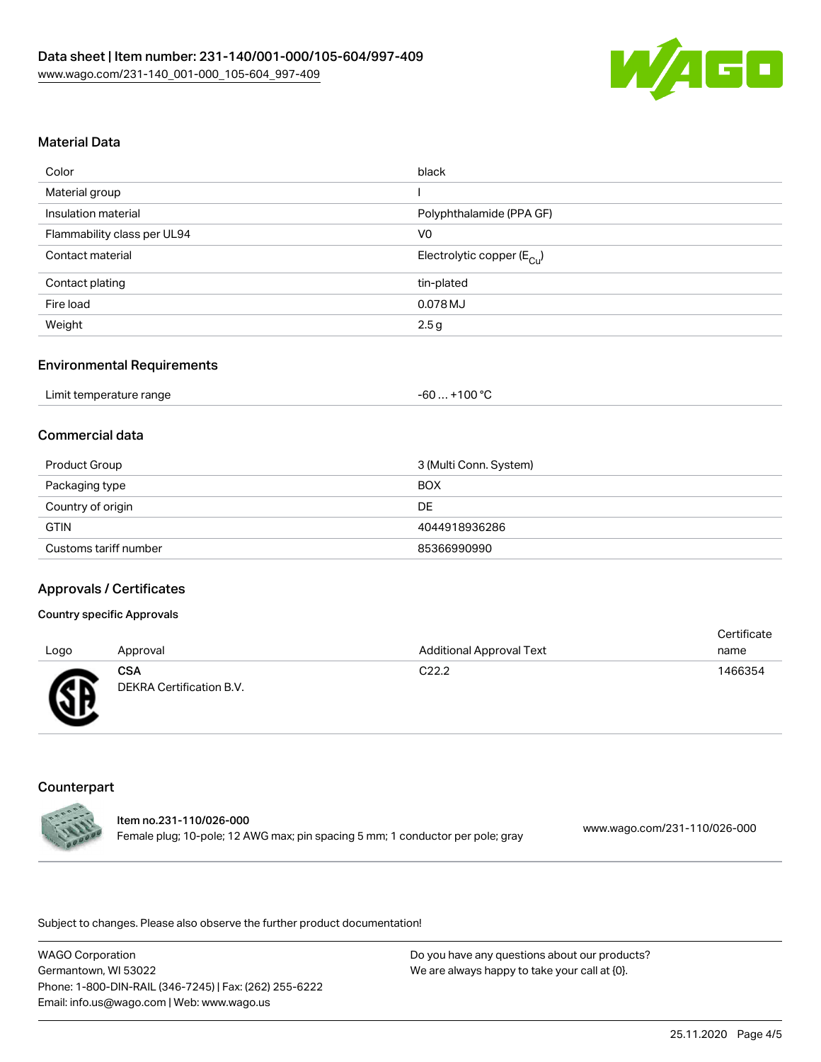

### Material Data

| Color                       | black                                  |
|-----------------------------|----------------------------------------|
| Material group              |                                        |
| Insulation material         | Polyphthalamide (PPA GF)               |
| Flammability class per UL94 | V <sub>0</sub>                         |
| Contact material            | Electrolytic copper (E <sub>Cu</sub> ) |
| Contact plating             | tin-plated                             |
| Fire load                   | 0.078 MJ                               |
| Weight                      | 2.5 <sub>g</sub>                       |

### Environmental Requirements

| Limit temperature range | +100 $^{\circ}$ C<br>-60 |
|-------------------------|--------------------------|
|-------------------------|--------------------------|

# Commercial data

| Product Group         | 3 (Multi Conn. System) |
|-----------------------|------------------------|
| Packaging type        | BOX                    |
| Country of origin     | DE                     |
| <b>GTIN</b>           | 4044918936286          |
| Customs tariff number | 85366990990            |

#### Approvals / Certificates

#### Country specific Approvals Logo Approval Additional Approval Text **Certificate** name **CSA** DEKRA Certification B.V. C22.2 1466354

### **Counterpart**



Item no.231-110/026-000 Female plug; 10-pole; 12 AWG max; pin spacing 5 mm; 1 conductor per pole; gray [www.wago.com/231-110/026-000](https://www.wago.com/231-110/026-000)

Subject to changes. Please also observe the further product documentation!

WAGO Corporation Germantown, WI 53022 Phone: 1-800-DIN-RAIL (346-7245) | Fax: (262) 255-6222 Email: info.us@wago.com | Web: www.wago.us